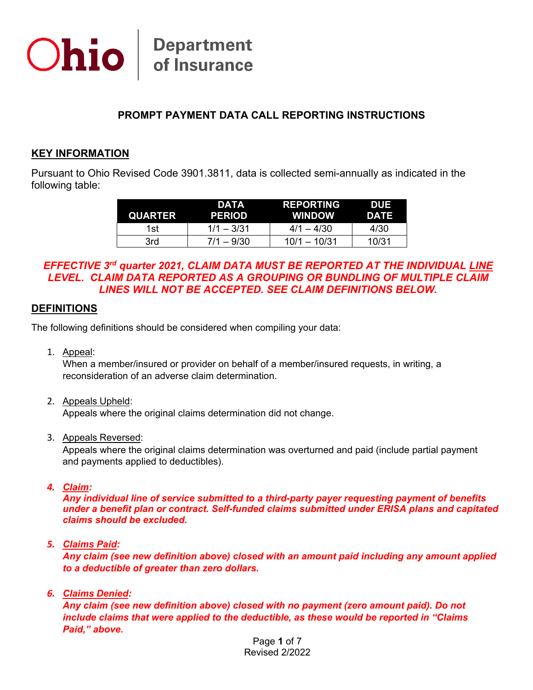

### **PROMPT PAYMENT DATA CALL REPORTING INSTRUCTIONS**

#### **KEY INFORMATION**

Pursuant to Ohio Revised Code 3901.3811, data is collected semi-annually as indicated in the following table:

| QUARTER | DATA<br><b>PERIOD</b> | <b>REPORTING</b><br><b>WINDOW</b> | DUE<br>DATE |
|---------|-----------------------|-----------------------------------|-------------|
| 1st     | $1/1 - 3/31$          | $4/1 - 4/30$                      | 4/30        |
| 3rd     | $7/1 - 9/30$          | $10/1 - 10/31$                    | 10/31       |

#### *EFFECTIVE 3rd quarter 2021, CLAIM DATA MUST BE REPORTED AT THE INDIVIDUAL LINE LEVEL. CLAIM DATA REPORTED AS A GROUPING OR BUNDLING OF MULTIPLE CLAIM LINES WILL NOT BE ACCEPTED. SEE CLAIM DEFINITIONS BELOW.*

#### **DEFINITIONS**

The following definitions should be considered when compiling your data:

1. Appeal:

When a member/insured or provider on behalf of a member/insured requests, in writing, a reconsideration of an adverse claim determination.

2. Appeals Upheld:

Appeals where the original claims determination did not change.

3. Appeals Reversed:

Appeals where the original claims determination was overturned and paid (include partial payment and payments applied to deductibles).

*4. Claim:*

*Any individual line of service submitted to a third-party payer requesting payment of benefits under a benefit plan or contract. Self-funded claims submitted under ERISA plans and capitated claims should be excluded.*

*5. Claims Paid:*

*Any claim (see new definition above) closed with an amount paid including any amount applied to a deductible of greater than zero dollars.*

*6. Claims Denied:*

*Any claim (see new definition above) closed with no payment (zero amount paid). Do not include claims that were applied to the deductible, as these would be reported in "Claims Paid," above.*

> Page **1** of 7 Revised 2/2022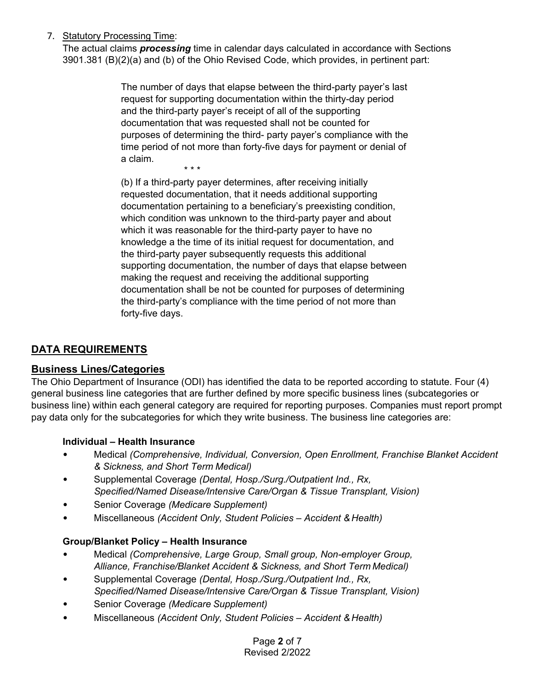## 7. Statutory Processing Time:

The actual claims *processing* time in calendar days calculated in accordance with Sections 3901.381 (B)(2)(a) and (b) of the Ohio Revised Code, which provides, in pertinent part:

> The number of days that elapse between the third-party payer's last request for supporting documentation within the thirty-day period and the third-party payer's receipt of all of the supporting documentation that was requested shall not be counted for purposes of determining the third- party payer's compliance with the time period of not more than forty-five days for payment or denial of a claim.

\* \* \*

(b) If a third-party payer determines, after receiving initially requested documentation, that it needs additional supporting documentation pertaining to a beneficiary's preexisting condition, which condition was unknown to the third-party payer and about which it was reasonable for the third-party payer to have no knowledge a the time of its initial request for documentation, and the third-party payer subsequently requests this additional supporting documentation, the number of days that elapse between making the request and receiving the additional supporting documentation shall be not be counted for purposes of determining the third-party's compliance with the time period of not more than forty-five days.

# **DATA REQUIREMENTS**

### **Business Lines/Categories**

The Ohio Department of Insurance (ODI) has identified the data to be reported according to statute. Four (4) general business line categories that are further defined by more specific business lines (subcategories or business line) within each general category are required for reporting purposes. Companies must report prompt pay data only for the subcategories for which they write business. The business line categories are:

### **Individual – Health Insurance**

- Medical *(Comprehensive, Individual, Conversion, Open Enrollment, Franchise Blanket Accident & Sickness, and Short Term Medical)*
- Supplemental Coverage *(Dental, Hosp./Surg./Outpatient Ind., Rx, Specified/Named Disease/Intensive Care/Organ & Tissue Transplant, Vision)*
- Senior Coverage *(Medicare Supplement)*
- Miscellaneous *(Accident Only, Student Policies – Accident & Health)*

### **Group/Blanket Policy – Health Insurance**

- Medical *(Comprehensive, Large Group, Small group, Non-employer Group, Alliance, Franchise/Blanket Accident & Sickness, and Short Term Medical)*
- Supplemental Coverage *(Dental, Hosp./Surg./Outpatient Ind., Rx, Specified/Named Disease/Intensive Care/Organ & Tissue Transplant, Vision)*
- Senior Coverage *(Medicare Supplement)*
- Miscellaneous *(Accident Only, Student Policies – Accident & Health)*

Page **2** of 7 Revised 2/2022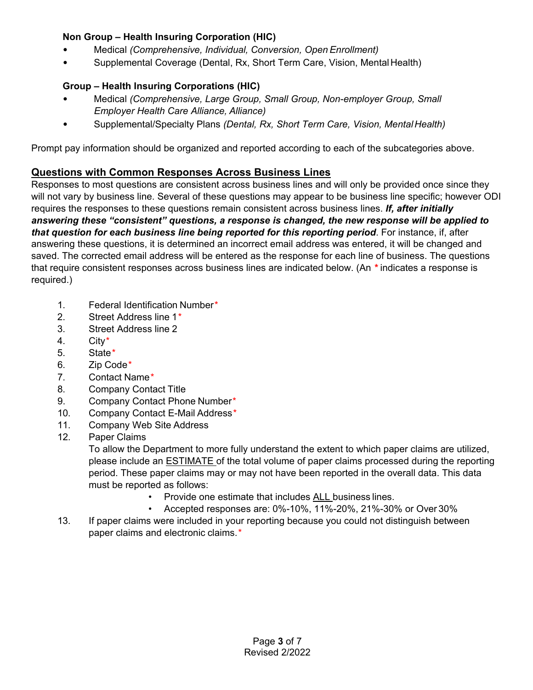### **Non Group – Health Insuring Corporation (HIC)**

- Medical *(Comprehensive, Individual, Conversion, Open Enrollment)*
- Supplemental Coverage (Dental, Rx, Short Term Care, Vision, Mental Health)

### **Group – Health Insuring Corporations (HIC)**

- Medical *(Comprehensive, Large Group, Small Group, Non-employer Group, Small Employer Health Care Alliance, Alliance)*
- Supplemental/Specialty Plans *(Dental, Rx, Short Term Care, Vision, MentalHealth)*

Prompt pay information should be organized and reported according to each of the subcategories above.

# **Questions with Common Responses Across Business Lines**

Responses to most questions are consistent across business lines and will only be provided once since they will not vary by business line. Several of these questions may appear to be business line specific; however ODI requires the responses to these questions remain consistent across business lines. *If, after initially answering these "consistent" questions, a response is changed, the new response will be applied to that question for each business line being reported for this reporting period*. For instance, if, after answering these questions, it is determined an incorrect email address was entered, it will be changed and saved. The corrected email address will be entered as the response for each line of business. The questions that require consistent responses across business lines are indicated below. (An *\** indicates a response is required.)

- 1. Federal Identification Number*\**
- 2. Street Address line 1*\**
- 3. Street Address line 2
- 4. City*\**
- 5. State*\**
- 6. Zip Code*\**
- 7. Contact Name*\**
- 8. Company Contact Title
- 9. Company Contact Phone Number*\**
- 10. Company Contact E-Mail Address*\**
- 11. Company Web Site Address
- 12. Paper Claims

To allow the Department to more fully understand the extent to which paper claims are utilized, please include an ESTIMATE of the total volume of paper claims processed during the reporting period. These paper claims may or may not have been reported in the overall data. This data must be reported as follows:

- Provide one estimate that includes ALL business lines.
- Accepted responses are: 0%-10%, 11%-20%, 21%-30% or Over 30%
- 13. If paper claims were included in your reporting because you could not distinguish between paper claims and electronic claims.*\**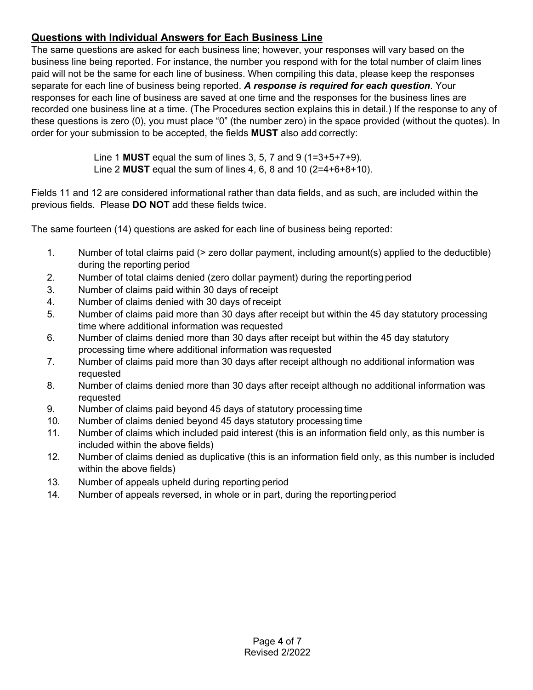# **Questions with Individual Answers for Each Business Line**

The same questions are asked for each business line; however, your responses will vary based on the business line being reported. For instance, the number you respond with for the total number of claim lines paid will not be the same for each line of business. When compiling this data, please keep the responses separate for each line of business being reported. *A response is required for each question*. Your responses for each line of business are saved at one time and the responses for the business lines are recorded one business line at a time. (The Procedures section explains this in detail.) If the response to any of these questions is zero (0), you must place "0" (the number zero) in the space provided (without the quotes). In order for your submission to be accepted, the fields **MUST** also add correctly:

> Line 1 **MUST** equal the sum of lines 3, 5, 7 and 9 (1=3+5+7+9). Line 2 **MUST** equal the sum of lines 4, 6, 8 and 10 (2=4+6+8+10).

Fields 11 and 12 are considered informational rather than data fields, and as such, are included within the previous fields. Please **DO NOT** add these fields twice.

The same fourteen (14) questions are asked for each line of business being reported:

- 1. Number of total claims paid (> zero dollar payment, including amount(s) applied to the deductible) during the reporting period
- 2. Number of total claims denied (zero dollar payment) during the reporting period
- 3. Number of claims paid within 30 days of receipt
- 4. Number of claims denied with 30 days of receipt
- 5. Number of claims paid more than 30 days after receipt but within the 45 day statutory processing time where additional information was requested
- 6. Number of claims denied more than 30 days after receipt but within the 45 day statutory processing time where additional information was requested
- 7. Number of claims paid more than 30 days after receipt although no additional information was requested
- 8. Number of claims denied more than 30 days after receipt although no additional information was requested
- 9. Number of claims paid beyond 45 days of statutory processing time
- 10. Number of claims denied beyond 45 days statutory processing time
- 11. Number of claims which included paid interest (this is an information field only, as this number is included within the above fields)
- 12. Number of claims denied as duplicative (this is an information field only, as this number is included within the above fields)
- 13. Number of appeals upheld during reporting period
- 14. Number of appeals reversed, in whole or in part, during the reporting period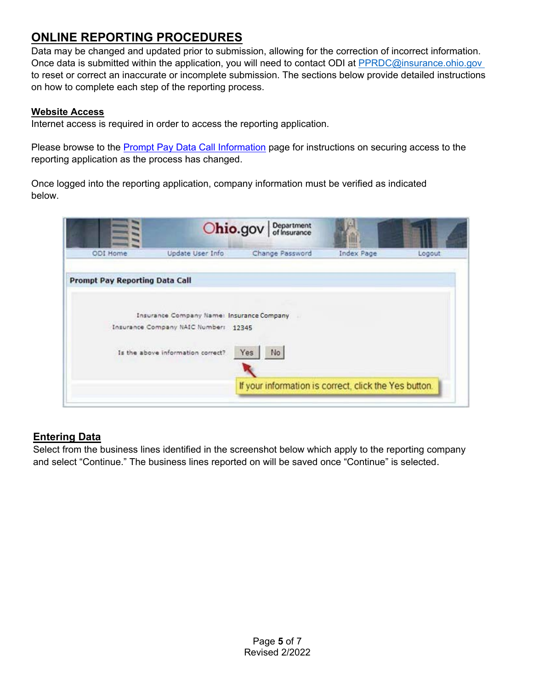# **ONLINE REPORTING PROCEDURES**

Data may be changed and updated prior to submission, allowing for the correction of incorrect information. Once data is submitted within the application, you will need to contact ODI at [PPRDC@insurance.ohio.gov](mailto:PPRDC@insurance.ohio.gov)  to reset or correct an inaccurate or incomplete submission. The sections below provide detailed instructions on how to complete each step of the reporting process.

#### **Website Access**

Internet access is required in order to access the reporting application.

Please browse to the [Prompt Pay Data Call Information](https://insurance.ohio.gov/wps/portal/gov/odi/about-us/divisions/market-conduct/resources/prompt-pay-data-call) page for instructions on securing access to the reporting application as the process has changed.

Once logged into the reporting application, company information must be verified as indicated below.

|                                       | Ohio.gov                                                                          | Department<br>of Insurance                            |                     |        |
|---------------------------------------|-----------------------------------------------------------------------------------|-------------------------------------------------------|---------------------|--------|
| ODI Home                              | Update User Info                                                                  | Change Password                                       | 11141<br>Index Page | Logout |
| <b>Prompt Pay Reporting Data Call</b> |                                                                                   |                                                       |                     |        |
|                                       | Insurance Company Name: Insurance Company<br>Insurance Company NAIC Number: 12345 |                                                       |                     |        |
|                                       | Is the above information correct?                                                 | Yes<br>No                                             |                     |        |
|                                       |                                                                                   | If your information is correct, click the Yes button. |                     |        |

# **Entering Data**

Select from the business lines identified in the screenshot below which apply to the reporting company and select "Continue." The business lines reported on will be saved once "Continue" is selected.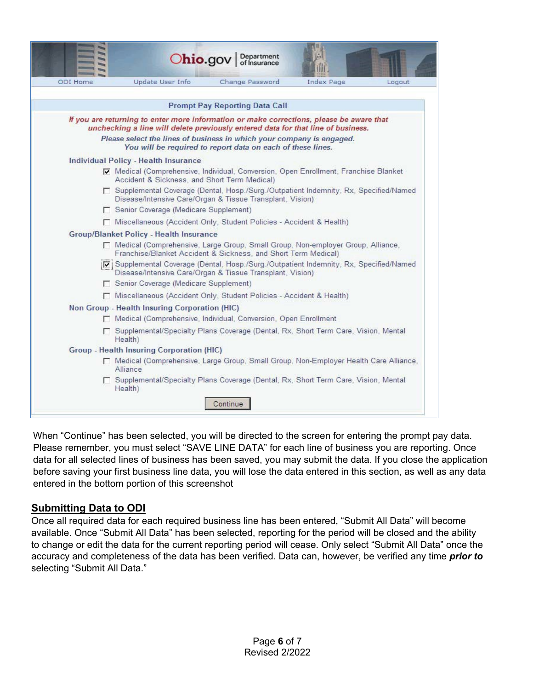| ODI Home | Update User Info                                                                                                                                                             | Change Password                                             | Index Page | Logout |
|----------|------------------------------------------------------------------------------------------------------------------------------------------------------------------------------|-------------------------------------------------------------|------------|--------|
|          |                                                                                                                                                                              | <b>Prompt Pay Reporting Data Call</b>                       |            |        |
|          | If you are returning to enter more information or make corrections, please be aware that<br>unchecking a line will delete previously entered data for that line of business. |                                                             |            |        |
|          | Please select the lines of business in which your company is engaged.                                                                                                        | You will be required to report data on each of these lines. |            |        |
|          | <b>Individual Policy - Health Insurance</b>                                                                                                                                  |                                                             |            |        |
|          | Medical (Comprehensive, Individual, Conversion, Open Enrollment, Franchise Blanket<br>Accident & Sickness, and Short Term Medical)                                           |                                                             |            |        |
|          | □ Supplemental Coverage (Dental, Hosp./Surg./Outpatient Indemnity, Rx, Specified/Named<br>Disease/Intensive Care/Organ & Tissue Transplant, Vision)                          |                                                             |            |        |
|          | Senior Coverage (Medicare Supplement)                                                                                                                                        |                                                             |            |        |
|          | Miscellaneous (Accident Only, Student Policies - Accident & Health)                                                                                                          |                                                             |            |        |
|          | <b>Group/Blanket Policy - Health Insurance</b>                                                                                                                               |                                                             |            |        |
|          | □ Medical (Comprehensive, Large Group, Small Group, Non-employer Group, Alliance,<br>Franchise/Blanket Accident & Sickness, and Short Term Medical)                          |                                                             |            |        |
|          | Supplemental Coverage (Dental, Hosp / Surg / Outpatient Indemnity, Rx, Specified/Named<br>Disease/Intensive Care/Organ & Tissue Transplant, Vision)                          |                                                             |            |        |
|          | Senior Coverage (Medicare Supplement)                                                                                                                                        |                                                             |            |        |
|          | Miscellaneous (Accident Only, Student Policies - Accident & Health)                                                                                                          |                                                             |            |        |
|          | Non Group - Health Insuring Corporation (HIC)                                                                                                                                |                                                             |            |        |
|          | Medical (Comprehensive, Individual, Conversion, Open Enrollment                                                                                                              |                                                             |            |        |
|          | □ Supplemental/Specialty Plans Coverage (Dental, Rx, Short Term Care, Vision, Mental<br>Health)                                                                              |                                                             |            |        |
|          | Group - Health Insuring Corporation (HIC)                                                                                                                                    |                                                             |            |        |
|          | □ Medical (Comprehensive, Large Group, Small Group, Non-Employer Health Care Alliance,<br>Alliance                                                                           |                                                             |            |        |
|          | □ Supplemental/Specialty Plans Coverage (Dental, Rx, Short Term Care, Vision, Mental<br>Health)                                                                              |                                                             |            |        |

When "Continue" has been selected, you will be directed to the screen for entering the prompt pay data. Please remember, you must select "SAVE LINE DATA" for each line of business you are reporting. Once data for all selected lines of business has been saved, you may submit the data. If you close the application before saving your first business line data, you will lose the data entered in this section, as well as any data entered in the bottom portion of this screenshot

#### **Submitting Data to ODI**

Once all required data for each required business line has been entered, "Submit All Data" will become available. Once "Submit All Data" has been selected, reporting for the period will be closed and the ability to change or edit the data for the current reporting period will cease. Only select "Submit All Data" once the accuracy and completeness of the data has been verified. Data can, however, be verified any time *prior to*  selecting "Submit All Data."